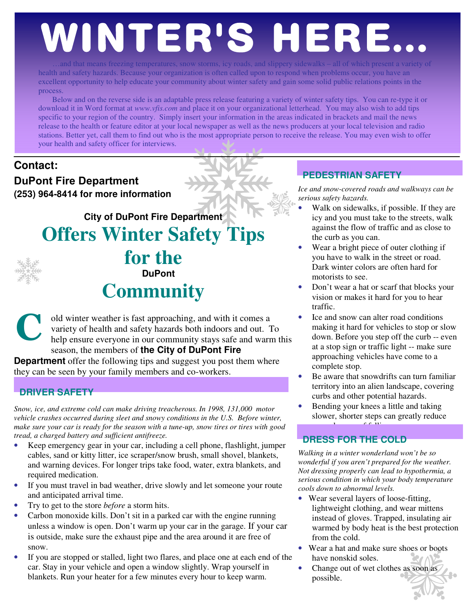# WINTER'S HERE.

…and that means freezing temperatures, snow storms, icy roads, and slippery sidewalks – all of which present a variety of health and safety hazards. Because your organization is often called upon to respond when problems occur, you have an excellent opportunity to help educate your community about winter safety and gain some solid public relations points in the process.

Below and on the reverse side is an adaptable press release featuring a variety of winter safety tips. You can re-type it or download it in Word format at *www.vfis.com* and place it on your organizational letterhead. You may also wish to add tips specific to your region of the country. Simply insert your information in the areas indicated in brackets and mail the news release to the health or feature editor at your local newspaper as well as the news producers at your local television and radio stations. Better yet, call them to find out who is the most appropriate person to receive the release. You may even wish to offer your health and safety officer for interviews.

### **Contact:**

**DuPont Fire Department (253) 964-8414 for more information** 

**City of DuPont Fire Department** 

**Offers Winter Safety Tips for the** 



**DuPont** 

## **Community**

old winter weather is fast approaching, and with it comes a variety of health and safety hazards both indoors and out. To help ensure everyone in our community stays safe and warm this season, the members of **the City of DuPont Fire**  C

**Department** offer the following tips and suggest you post them where they can be seen by your family members and co-workers.

#### **DRIVER SAFETY**

*Snow, ice, and extreme cold can make driving treacherous. In 1998, 131,000 motor vehicle crashes occurred during sleet and snowy conditions in the U.S. Before winter, make sure your car is ready for the season with a tune-up, snow tires or tires with good tread, a charged battery and sufficient antifreeze.* 

- Keep emergency gear in your car, including a cell phone, flashlight, jumper cables, sand or kitty litter, ice scraper/snow brush, small shovel, blankets, and warning devices. For longer trips take food, water, extra blankets, and required medication.
- If you must travel in bad weather, drive slowly and let someone your route and anticipated arrival time.
- Try to get to the store *before* a storm hits.
- Carbon monoxide kills. Don't sit in a parked car with the engine running unless a window is open. Don't warm up your car in the garage. If your car is outside, make sure the exhaust pipe and the area around it are free of snow.
- If you are stopped or stalled, light two flares, and place one at each end of the car. Stay in your vehicle and open a window slightly. Wrap yourself in blankets. Run your heater for a few minutes every hour to keep warm.

#### **PEDESTRIAN SAFETY**

*Ice and snow-covered roads and walkways can be serious safety hazards.* 

- Walk on sidewalks, if possible. If they are icy and you must take to the streets, walk against the flow of traffic and as close to the curb as you can.
- Wear a bright piece of outer clothing if you have to walk in the street or road. Dark winter colors are often hard for motorists to see.
- Don't wear a hat or scarf that blocks your vision or makes it hard for you to hear traffic.
- Ice and snow can alter road conditions making it hard for vehicles to stop or slow down. Before you step off the curb -- even at a stop sign or traffic light -- make sure approaching vehicles have come to a complete stop.
- Be aware that snowdrifts can turn familiar territory into an alien landscape, covering curbs and other potential hazards.
- Bending your knees a little and taking slower, shorter steps can greatly reduce

#### your chances of falling. **DRESS FOR THE COLD**

*Walking in a winter wonderland won't be so wonderful if you aren't prepared for the weather. Not dressing properly can lead to hypothermia, a serious condition in which your body temperature cools down to abnormal levels.* 

- Wear several layers of loose-fitting, lightweight clothing, and wear mittens instead of gloves. Trapped, insulating air warmed by body heat is the best protection from the cold.
- Wear a hat and make sure shoes or boots have nonskid soles.
- Change out of wet clothes as soon as possible.